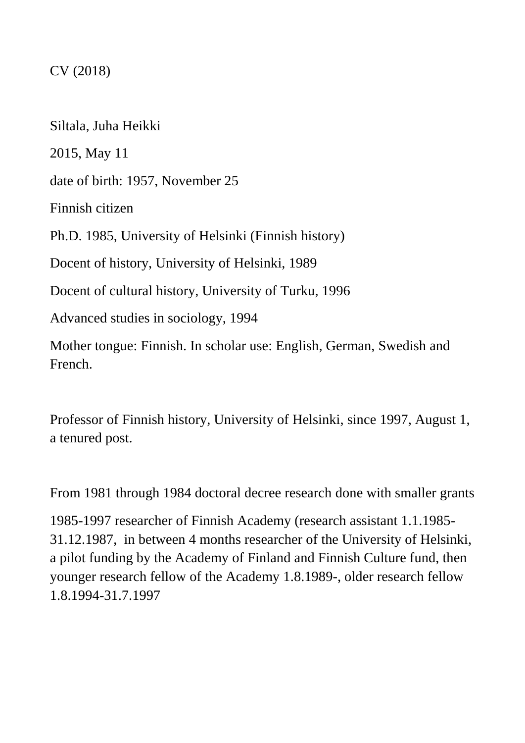# CV (2018)

Siltala, Juha Heikki 2015, May 11 date of birth: 1957, November 25 Finnish citizen Ph.D. 1985, University of Helsinki (Finnish history) Docent of history, University of Helsinki, 1989 Docent of cultural history, University of Turku, 1996 Advanced studies in sociology, 1994 Mother tongue: Finnish. In scholar use: English, German, Swedish and French.

Professor of Finnish history, University of Helsinki, since 1997, August 1, a tenured post.

From 1981 through 1984 doctoral decree research done with smaller grants

1985-1997 researcher of Finnish Academy (research assistant 1.1.1985- 31.12.1987, in between 4 months researcher of the University of Helsinki, a pilot funding by the Academy of Finland and Finnish Culture fund, then younger research fellow of the Academy 1.8.1989-, older research fellow 1.8.1994-31.7.1997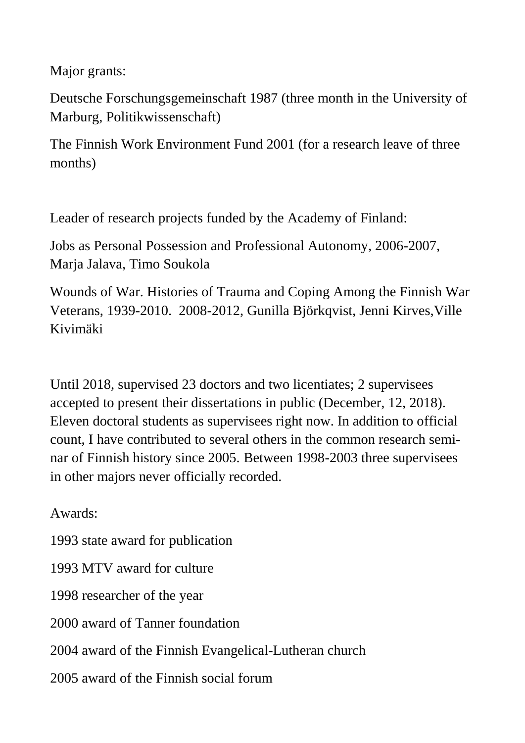Major grants:

Deutsche Forschungsgemeinschaft 1987 (three month in the University of Marburg, Politikwissenschaft)

The Finnish Work Environment Fund 2001 (for a research leave of three months)

Leader of research projects funded by the Academy of Finland:

Jobs as Personal Possession and Professional Autonomy, 2006-2007, Marja Jalava, Timo Soukola

Wounds of War. Histories of Trauma and Coping Among the Finnish War Veterans, 1939-2010. 2008-2012, Gunilla Björkqvist, Jenni Kirves,Ville Kivimäki

Until 2018, supervised 23 doctors and two licentiates; 2 supervisees accepted to present their dissertations in public (December, 12, 2018). Eleven doctoral students as supervisees right now. In addition to official count, I have contributed to several others in the common research seminar of Finnish history since 2005. Between 1998-2003 three supervisees in other majors never officially recorded.

Awards:

1993 state award for publication

1993 MTV award for culture

1998 researcher of the year

2000 award of Tanner foundation

2004 award of the Finnish Evangelical-Lutheran church

2005 award of the Finnish social forum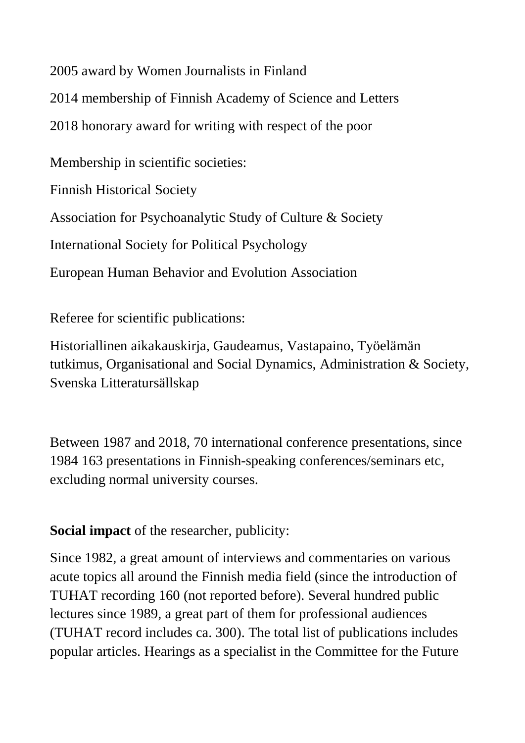2005 award by Women Journalists in Finland

2014 membership of Finnish Academy of Science and Letters

2018 honorary award for writing with respect of the poor

Membership in scientific societies:

Finnish Historical Society

Association for Psychoanalytic Study of Culture & Society

International Society for Political Psychology

European Human Behavior and Evolution Association

Referee for scientific publications:

Historiallinen aikakauskirja, Gaudeamus, Vastapaino, Työelämän tutkimus, Organisational and Social Dynamics, Administration & Society, Svenska Litteratursällskap

Between 1987 and 2018, 70 international conference presentations, since 1984 163 presentations in Finnish-speaking conferences/seminars etc, excluding normal university courses.

**Social impact** of the researcher, publicity:

Since 1982, a great amount of interviews and commentaries on various acute topics all around the Finnish media field (since the introduction of TUHAT recording 160 (not reported before). Several hundred public lectures since 1989, a great part of them for professional audiences (TUHAT record includes ca. 300). The total list of publications includes popular articles. Hearings as a specialist in the Committee for the Future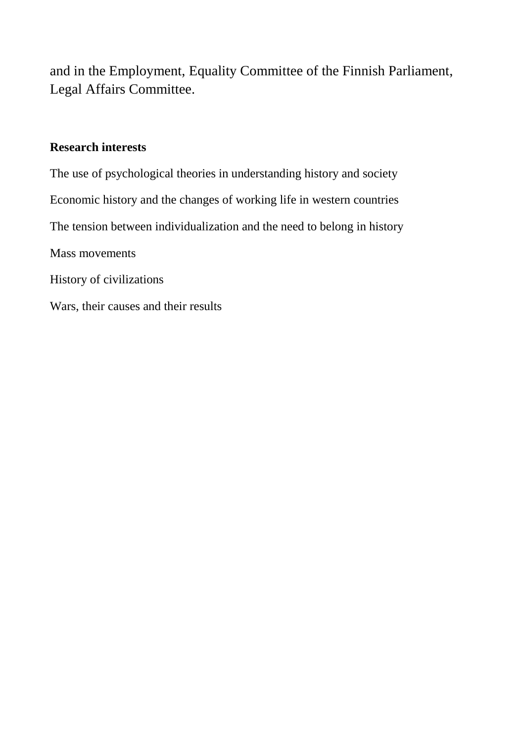and in the Employment, Equality Committee of the Finnish Parliament, Legal Affairs Committee.

## **Research interests**

The use of psychological theories in understanding history and society Economic history and the changes of working life in western countries The tension between individualization and the need to belong in history Mass movements History of civilizations Wars, their causes and their results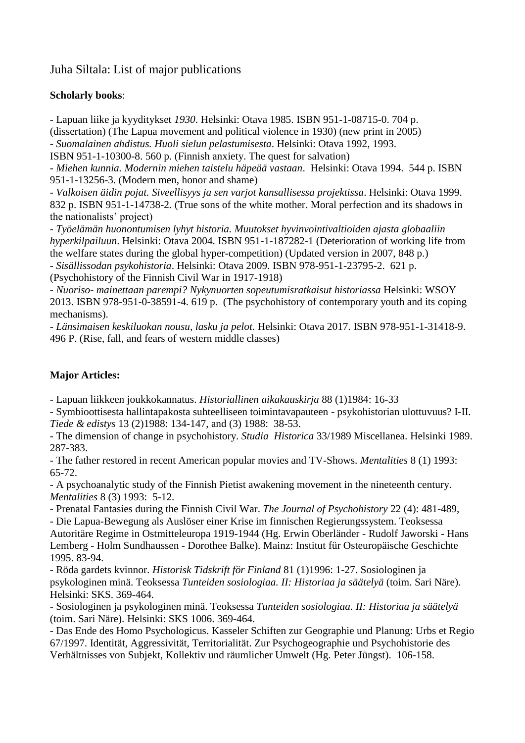### Juha Siltala: List of major publications

#### **Scholarly books**:

- Lapuan liike ja kyyditykset *1930*. Helsinki: Otava 1985. ISBN 951-1-08715-0. 704 p. (dissertation) (The Lapua movement and political violence in 1930) (new print in 2005) *- Suomalainen ahdistus. Huoli sielun pelastumisesta*. Helsinki: Otava 1992, 1993.

ISBN 951-1-10300-8. 560 p. (Finnish anxiety. The quest for salvation)

- *Miehen kunnia. Modernin miehen taistelu häpeää vastaan*. Helsinki: Otava 1994. 544 p. ISBN 951-1-13256-3. (Modern men, honor and shame)

- *Valkoisen äidin pojat. Siveellisyys ja sen varjot kansallisessa projektissa*. Helsinki: Otava 1999. 832 p. ISBN 951-1-14738-2. (True sons of the white mother. Moral perfection and its shadows in the nationalists' project)

*- Työelämän huonontumisen lyhyt historia. Muutokset hyvinvointivaltioiden ajasta globaaliin hyperkilpailuun*. Helsinki: Otava 2004. ISBN 951-1-187282-1 (Deterioration of working life from the welfare states during the global hyper-competition) (Updated version in 2007, 848 p.) - *Sisällissodan psykohistoria*. Helsinki: Otava 2009. ISBN 978-951-1-23795-2. 621 p.

(Psychohistory of the Finnish Civil War in 1917-1918)

- *Nuoriso- mainettaan parempi? Nykynuorten sopeutumisratkaisut historiassa* Helsinki: WSOY 2013. ISBN 978-951-0-38591-4. 619 p. (The psychohistory of contemporary youth and its coping mechanisms).

- *Länsimaisen keskiluokan nousu, lasku ja pelot*. Helsinki: Otava 2017. ISBN 978-951-1-31418-9. 496 P. (Rise, fall, and fears of western middle classes)

#### **Major Articles:**

- Lapuan liikkeen joukkokannatus. *Historiallinen aikakauskirja* 88 (1)1984: 16-33

- Symbioottisesta hallintapakosta suhteelliseen toimintavapauteen - psykohistorian ulottuvuus? I-II. *Tiede & edistys* 13 (2)1988: 134-147, and (3) 1988: 38-53.

- The dimension of change in psychohistory. *Studia Historica* 33/1989 Miscellanea. Helsinki 1989. 287-383.

- The father restored in recent American popular movies and TV-Shows. *Mentalities* 8 (1) 1993: 65-72.

- A psychoanalytic study of the Finnish Pietist awakening movement in the nineteenth century. *Mentalities* 8 (3) 1993: 5-12.

- Prenatal Fantasies during the Finnish Civil War. *The Journal of Psychohistory* 22 (4): 481-489,

- Die Lapua-Bewegung als Auslöser einer Krise im finnischen Regierungssystem. Teoksessa Autoritäre Regime in Ostmitteleuropa 1919-1944 (Hg. Erwin Oberländer - Rudolf Jaworski - Hans Lemberg - Holm Sundhaussen - Dorothee Balke). Mainz: Institut für Osteuropäische Geschichte 1995. 83-94.

- Röda gardets kvinnor. *Historisk Tidskrift för Finland* 81 (1)1996: 1-27. Sosiologinen ja psykologinen minä. Teoksessa *Tunteiden sosiologiaa. II: Historiaa ja säätelyä* (toim. Sari Näre). Helsinki: SKS. 369-464.

- Sosiologinen ja psykologinen minä. Teoksessa *Tunteiden sosiologiaa. II: Historiaa ja säätelyä*  (toim. Sari Näre). Helsinki: SKS 1006. 369-464.

- Das Ende des Homo Psychologicus. Kasseler Schiften zur Geographie und Planung: Urbs et Regio 67/1997. Identität, Aggressivität, Territorialität. Zur Psychogeographie und Psychohistorie des Verhältnisses von Subjekt, Kollektiv und räumlicher Umwelt (Hg. Peter Jüngst). 106-158.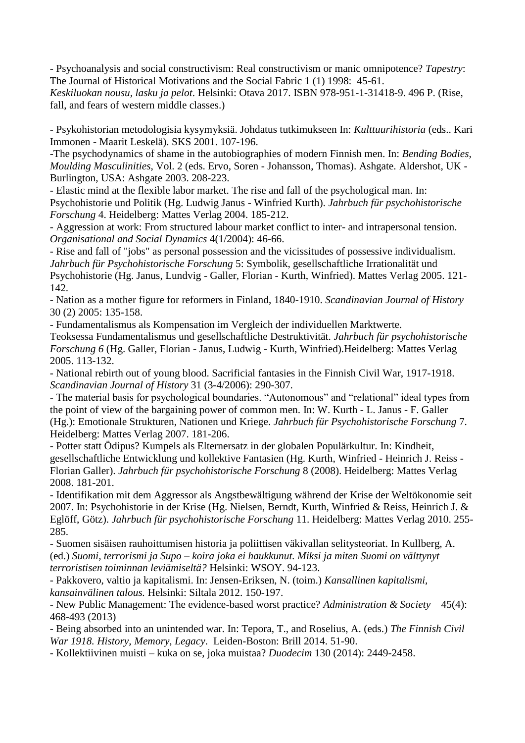- Psychoanalysis and social constructivism: Real constructivism or manic omnipotence? *Tapestry*: The Journal of Historical Motivations and the Social Fabric 1 (1) 1998: 45-61.

*Keskiluokan nousu, lasku ja pelot*. Helsinki: Otava 2017. ISBN 978-951-1-31418-9. 496 P. (Rise, fall, and fears of western middle classes.)

- Psykohistorian metodologisia kysymyksiä. Johdatus tutkimukseen In: *Kulttuurihistoria* (eds.. Kari Immonen - Maarit Leskelä). SKS 2001. 107-196.

-The psychodynamics of shame in the autobiographies of modern Finnish men. In: *Bending Bodies, Moulding Masculinities*, Vol. 2 (eds. Ervo, Soren - Johansson, Thomas). Ashgate. Aldershot, UK - Burlington, USA: Ashgate 2003. 208-223.

- Elastic mind at the flexible labor market. The rise and fall of the psychological man. In: Psychohistorie und Politik (Hg. Ludwig Janus - Winfried Kurth). *Jahrbuch für psychohistorische Forschung* 4. Heidelberg: Mattes Verlag 2004. 185-212.

- Aggression at work: From structured labour market conflict to inter- and intrapersonal tension. *Organisational and Social Dynamics* 4(1/2004): 46-66.

- Rise and fall of "jobs" as personal possession and the vicissitudes of possessive individualism. *Jahrbuch für Psychohistorische Forschung* 5: Symbolik, gesellschaftliche Irrationalität und Psychohistorie (Hg. Janus, Lundvig - Galler, Florian - Kurth, Winfried). Mattes Verlag 2005. 121- 142.

- Nation as a mother figure for reformers in Finland, 1840-1910. *Scandinavian Journal of History* 30 (2) 2005: 135-158.

- Fundamentalismus als Kompensation im Vergleich der individuellen Marktwerte. Teoksessa Fundamentalismus und gesellschaftliche Destruktivität. *Jahrbuch für psychohistorische Forschung 6* (Hg. Galler, Florian - Janus, Ludwig - Kurth, Winfried).Heidelberg: Mattes Verlag 2005. 113-132.

- National rebirth out of young blood. Sacrificial fantasies in the Finnish Civil War, 1917-1918. *Scandinavian Journal of History* 31 (3-4/2006): 290-307.

- The material basis for psychological boundaries. "Autonomous" and "relational" ideal types from the point of view of the bargaining power of common men. In: W. Kurth - L. Janus - F. Galler (Hg.): Emotionale Strukturen, Nationen und Kriege. *Jahrbuch für Psychohistorische Forschung* 7. Heidelberg: Mattes Verlag 2007. 181-206.

- Potter statt Ödipus? Kumpels als Elternersatz in der globalen Populärkultur. In: Kindheit, gesellschaftliche Entwicklung und kollektive Fantasien (Hg. Kurth, Winfried - Heinrich J. Reiss - Florian Galler). *Jahrbuch für psychohistorische Forschung* 8 (2008). Heidelberg: Mattes Verlag 2008. 181-201.

- Identifikation mit dem Aggressor als Angstbewältigung während der Krise der Weltökonomie seit 2007. In: Psychohistorie in der Krise (Hg. Nielsen, Berndt, Kurth, Winfried & Reiss, Heinrich J. & Eglöff, Götz). *Jahrbuch für psychohistorische Forschung* 11. Heidelberg: Mattes Verlag 2010. 255- 285.

- Suomen sisäisen rauhoittumisen historia ja poliittisen väkivallan selitysteoriat. In Kullberg, A. (ed.) *Suomi, terrorismi ja Supo – koira joka ei haukkunut. Miksi ja miten Suomi on välttynyt terroristisen toiminnan leviämiseltä?* Helsinki: WSOY. 94-123.

- Pakkovero, valtio ja kapitalismi. In: Jensen-Eriksen, N. (toim.) *Kansallinen kapitalismi, kansainvälinen talous.* Helsinki: Siltala 2012. 150-197.

- New Public Management: The evidence-based worst practice? *Administration & Society* 45(4): 468-493 (2013)

- Being absorbed into an unintended war. In: Tepora, T., and Roselius, A. (eds.) *The Finnish Civil War 1918. History, Memory, Legacy*. Leiden-Boston: Brill 2014. 51-90.

- Kollektiivinen muisti – kuka on se, joka muistaa? *Duodecim* 130 (2014): 2449-2458.